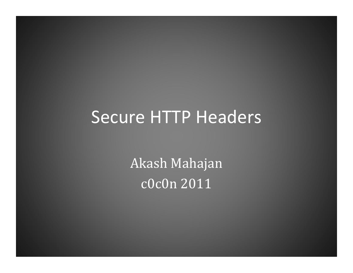#### Secure HTTP Headers

Akash Mahajan c0c0n 2011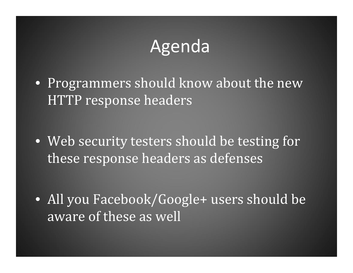# Agenda

• Programmers should know about the new HTTP response headers

• Web security testers should be testing for these response headers as defenses

• All you Facebook/Google+ users should be aware of these as well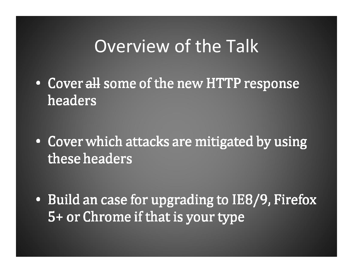## Overview of the Talk

• Cover all some of the new HTTP response headers

• Cover which attacks are mitigated by using these headers

• Build an case for upgrading to IE8/9, Firefox 5+ or Chrome if that is your type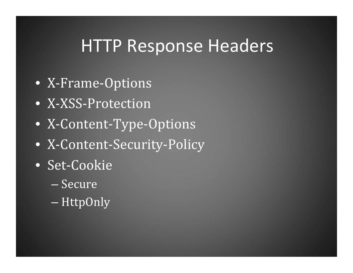# HTTP Response Headers

- X‐Frame‐Options
- X‐XSS‐Protection
- X‐Content‐Type‐Options
- X‐Content‐Security‐Policy
- Set‐Cookie
	- Secure
	- –HttpOnly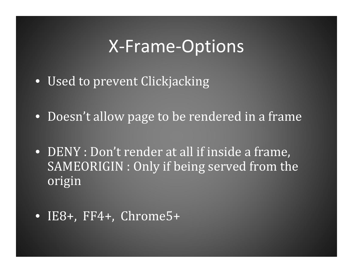## X‐Frame‐Options

- Used to prevent Clickjacking
- Doesn't allow page to be rendered in a frame
- DENY : Don't render at all if inside a frame, SAMEORIGIN : Only if being served from the origin
- IE8+, FF4+, Chrome5+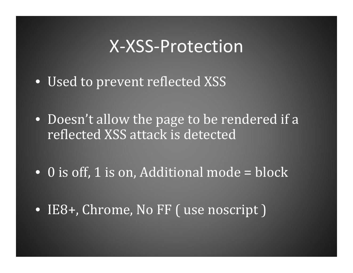#### X‐XSS‐Protection

- Used to prevent reflected XSS
- Doesn't allow the page to be rendered if a reflected XSS attack is detected
- 0 is off, 1 is on, Additional mode = block
- IE8+, Chrome, No FF ( use noscript )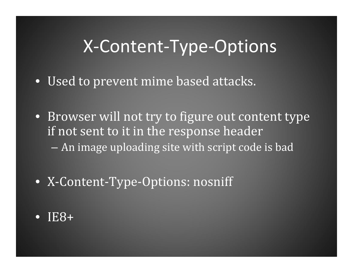## X‐Content‐Type‐Options

- Used to prevent mime based attacks.
- Browser will not try to figure out content type if not sent to it in the response header An image uploading site with script code is bad
- X‐Content‐Type‐Options: nosniff
- $\bullet$ IE8+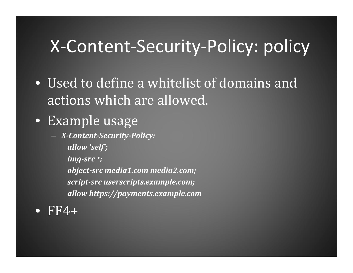# X‐Content‐Security‐Policy: policy

- Used to define a whitelist of domains and actions which are allowed.
- Example usage
	- *XContentSecurityPolicy:*
		- *allow 'self';*
		- *imgsrc \*;*
		- *objectsrc media1.com media2.com; scriptsrc userscripts.example.com; allow https://payments.example.com*
- $\bullet$  $FF4+$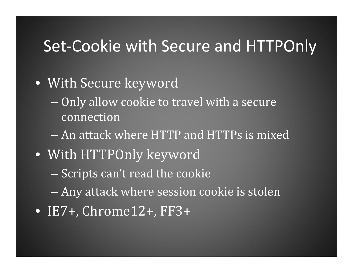#### Set‐Cookie with Secure and HTTPOnly

- With Secure keyword
	- $-$  Only allow cookie to travel with a secure  $\,$ connection
	- An attack where HTTP and HTTPs is mixed
- With HTTPOnly keyword
	- Scripts can't read the cookie
	- –Any attack where session cookie is stolen
- IE7+, Chrome12+, FF3+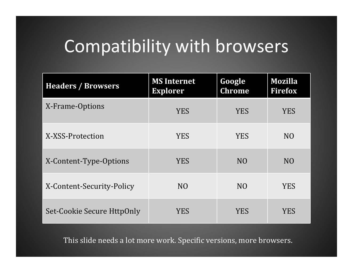# Compatibility with browsers

| <b>Headers / Browsers</b>  | <b>MS Internet</b><br><b>Explorer</b> | Google<br><b>Chrome</b> | <b>Mozilla</b><br><b>Firefox</b> |
|----------------------------|---------------------------------------|-------------------------|----------------------------------|
| X-Frame-Options            | <b>YES</b>                            | <b>YES</b>              | <b>YES</b>                       |
| X-XSS-Protection           | <b>YES</b>                            | <b>YES</b>              | N <sub>O</sub>                   |
| X-Content-Type-Options     | <b>YES</b>                            | N <sub>O</sub>          | N <sub>O</sub>                   |
| X-Content-Security-Policy  | N <sub>O</sub>                        | N <sub>O</sub>          | <b>YES</b>                       |
| Set-Cookie Secure HttpOnly | <b>YES</b>                            | <b>YES</b>              | <b>YES</b>                       |

This slide needs a lot more work. Specific versions, more browsers.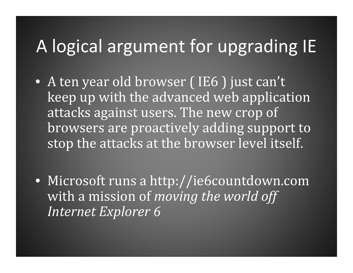# A logical argument for upgrading IE

- A ten year old browser ( IE6 ) just can't keep up with the advanced web application attacks against users. The new crop of browsers are proactively adding support to stop the attacks at the browser level itself.
- Microsoft runs a http://ie6countdown.com with a mission of *moving the world off Internet Explorer 6*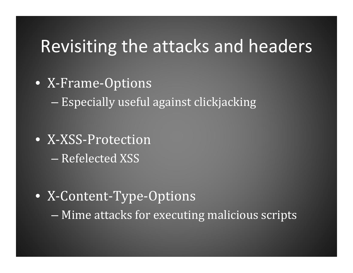## Revisiting the attacks and headers

• X‐Frame‐Options

Especially useful against clickjacking

- X‐XSS‐Protection– Refelected XSS
- X‐Content‐Type‐Options –Mime attacks for executing malicious scripts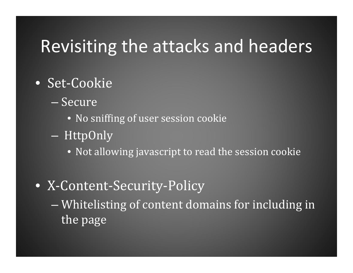## Revisiting the attacks and headers

- Set‐Cookie
	- Secure
		- No sniffing of user session cookie
	- HttpOnly
		- Not allowing javascript to read the session cookie
- X‐Content‐Security‐Policy
	- – Whitelisting of content domains for including in the page